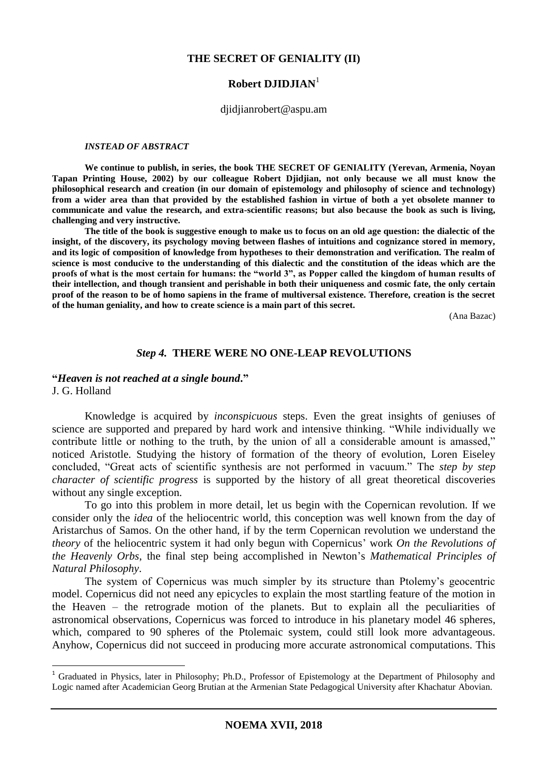## **THE SECRET OF GENIALITY (II)**

# **Robert DJIDJIAN**<sup>1</sup>

#### djidjianrobert@aspu.am

#### *INSTEAD OF ABSTRACT*

**We continue to publish, in series, the book THE SECRET OF GENIALITY (Yerevan, Armenia, Noyan Tapan Printing House, 2002) by our colleague Robert Djidjian, not only because we all must know the philosophical research and creation (in our domain of epistemology and philosophy of science and technology) from a wider area than that provided by the established fashion in virtue of both a yet obsolete manner to communicate and value the research, and extra-scientific reasons; but also because the book as such is living, challenging and very instructive.** 

**The title of the book is suggestive enough to make us to focus on an old age question: the dialectic of the insight, of the discovery, its psychology moving between flashes of intuitions and cognizance stored in memory, and its logic of composition of knowledge from hypotheses to their demonstration and verification. The realm of science is most conducive to the understanding of this dialectic and the constitution of the ideas which are the proofs of what is the most certain for humans: the "world 3", as Popper called the kingdom of human results of their intellection, and though transient and perishable in both their uniqueness and cosmic fate, the only certain proof of the reason to be of homo sapiens in the frame of multiversal existence. Therefore, creation is the secret of the human geniality, and how to create science is a main part of this secret.**

(Ana Bazac)

## *Step 4.* **THERE WERE NO ONE-LEAP REVOLUTIONS**

## **"***Heaven is not reached at a single bound***."**

J. G. Holland

1

Knowledge is acquired by *inconspicuous* steps. Even the great insights of geniuses of science are supported and prepared by hard work and intensive thinking. "While individually we contribute little or nothing to the truth, by the union of all a considerable amount is amassed," noticed Aristotle. Studying the history of formation of the theory of evolution, Loren Eiseley concluded, "Great acts of scientific synthesis are not performed in vacuum." The *step by step character of scientific progress* is supported by the history of all great theoretical discoveries without any single exception.

To go into this problem in more detail, let us begin with the Copernican revolution. If we consider only the *idea* of the heliocentric world, this conception was well known from the day of Aristarchus of Samos. On the other hand, if by the term Copernican revolution we understand the *theory* of the heliocentric system it had only begun with Copernicus' work *On the Revolutions of the Heavenly Orbs*, the final step being accomplished in Newton's *Mathematical Principles of Natural Philosophy*.

The system of Copernicus was much simpler by its structure than Ptolemy's geocentric model. Copernicus did not need any epicycles to explain the most startling feature of the motion in the Heaven – the retrograde motion of the planets. But to explain all the peculiarities of astronomical observations, Copernicus was forced to introduce in his planetary model 46 spheres, which, compared to 90 spheres of the Ptolemaic system, could still look more advantageous. Anyhow, Copernicus did not succeed in producing more accurate astronomical computations. This

<sup>&</sup>lt;sup>1</sup> Graduated in Physics, later in Philosophy; Ph.D., Professor of Epistemology at the Department of Philosophy and Logic named after Academician Georg Brutian at the Armenian State Pedagogical University after Khachatur Abovian.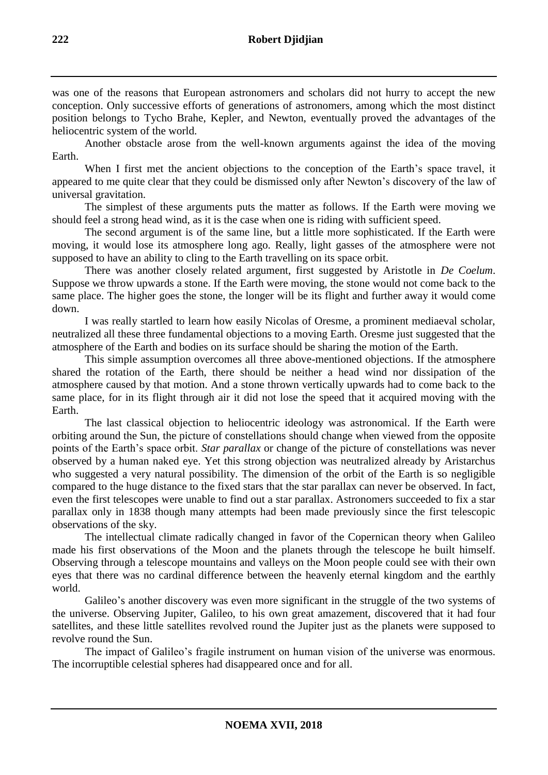was one of the reasons that European astronomers and scholars did not hurry to accept the new conception. Only successive efforts of generations of astronomers, among which the most distinct position belongs to Tycho Brahe, Kepler, and Newton, eventually proved the advantages of the heliocentric system of the world.

Another obstacle arose from the well-known arguments against the idea of the moving Earth.

When I first met the ancient objections to the conception of the Earth's space travel, it appeared to me quite clear that they could be dismissed only after Newton's discovery of the law of universal gravitation.

The simplest of these arguments puts the matter as follows. If the Earth were moving we should feel a strong head wind, as it is the case when one is riding with sufficient speed.

The second argument is of the same line, but a little more sophisticated. If the Earth were moving, it would lose its atmosphere long ago. Really, light gasses of the atmosphere were not supposed to have an ability to cling to the Earth travelling on its space orbit.

There was another closely related argument, first suggested by Aristotle in *De Coelum*. Suppose we throw upwards a stone. If the Earth were moving, the stone would not come back to the same place. The higher goes the stone, the longer will be its flight and further away it would come down.

I was really startled to learn how easily Nicolas of Oresme, a prominent mediaeval scholar, neutralized all these three fundamental objections to a moving Earth. Oresme just suggested that the atmosphere of the Earth and bodies on its surface should be sharing the motion of the Earth.

This simple assumption overcomes all three above-mentioned objections. If the atmosphere shared the rotation of the Earth, there should be neither a head wind nor dissipation of the atmosphere caused by that motion. And a stone thrown vertically upwards had to come back to the same place, for in its flight through air it did not lose the speed that it acquired moving with the Earth.

The last classical objection to heliocentric ideology was astronomical. If the Earth were orbiting around the Sun, the picture of constellations should change when viewed from the opposite points of the Earth's space orbit. *Star parallax* or change of the picture of constellations was never observed by a human naked eye. Yet this strong objection was neutralized already by Aristarchus who suggested a very natural possibility. The dimension of the orbit of the Earth is so negligible compared to the huge distance to the fixed stars that the star parallax can never be observed. In fact, even the first telescopes were unable to find out a star parallax. Astronomers succeeded to fix a star parallax only in 1838 though many attempts had been made previously since the first telescopic observations of the sky.

The intellectual climate radically changed in favor of the Copernican theory when Galileo made his first observations of the Moon and the planets through the telescope he built himself. Observing through a telescope mountains and valleys on the Moon people could see with their own eyes that there was no cardinal difference between the heavenly eternal kingdom and the earthly world.

Galileo's another discovery was even more significant in the struggle of the two systems of the universe. Observing Jupiter, Galileo, to his own great amazement, discovered that it had four satellites, and these little satellites revolved round the Jupiter just as the planets were supposed to revolve round the Sun.

The impact of Galileo's fragile instrument on human vision of the universe was enormous. The incorruptible celestial spheres had disappeared once and for all.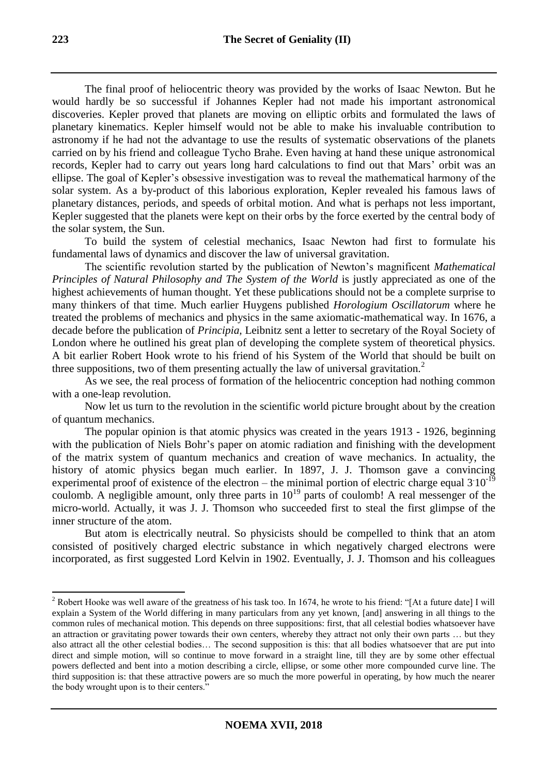The final proof of heliocentric theory was provided by the works of Isaac Newton. But he would hardly be so successful if Johannes Kepler had not made his important astronomical discoveries. Kepler proved that planets are moving on elliptic orbits and formulated the laws of planetary kinematics. Kepler himself would not be able to make his invaluable contribution to astronomy if he had not the advantage to use the results of systematic observations of the planets carried on by his friend and colleague Tycho Brahe. Even having at hand these unique astronomical records, Kepler had to carry out years long hard calculations to find out that Mars' orbit was an ellipse. The goal of Kepler's obsessive investigation was to reveal the mathematical harmony of the solar system. As a by-product of this laborious exploration, Kepler revealed his famous laws of planetary distances, periods, and speeds of orbital motion. And what is perhaps not less important, Kepler suggested that the planets were kept on their orbs by the force exerted by the central body of the solar system, the Sun.

To build the system of celestial mechanics, Isaac Newton had first to formulate his fundamental laws of dynamics and discover the law of universal gravitation.

The scientific revolution started by the publication of Newton's magnificent *Mathematical Principles of Natural Philosophy and The System of the World* is justly appreciated as one of the highest achievements of human thought. Yet these publications should not be a complete surprise to many thinkers of that time. Much earlier Huygens published *Horologium Oscillatorum* where he treated the problems of mechanics and physics in the same axiomatic-mathematical way. In 1676, a decade before the publication of *Principia,* Leibnitz sent a letter to secretary of the Royal Society of London where he outlined his great plan of developing the complete system of theoretical physics. A bit earlier Robert Hook wrote to his friend of his System of the World that should be built on three suppositions, two of them presenting actually the law of universal gravitation.<sup>2</sup>

As we see, the real process of formation of the heliocentric conception had nothing common with a one-leap revolution.

Now let us turn to the revolution in the scientific world picture brought about by the creation of quantum mechanics.

The popular opinion is that atomic physics was created in the years 1913 - 1926, beginning with the publication of Niels Bohr's paper on atomic radiation and finishing with the development of the matrix system of quantum mechanics and creation of wave mechanics. In actuality, the history of atomic physics began much earlier. In 1897, J. J. Thomson gave a convincing experimental proof of existence of the electron – the minimal portion of electric charge equal  $3.10^{-19}$ coulomb. A negligible amount, only three parts in  $10^{19}$  parts of coulomb! A real messenger of the micro-world. Actually, it was J. J. Thomson who succeeded first to steal the first glimpse of the inner structure of the atom.

But atom is electrically neutral. So physicists should be compelled to think that an atom consisted of positively charged electric substance in which negatively charged electrons were incorporated, as first suggested Lord Kelvin in 1902. Eventually, J. J. Thomson and his colleagues

-

<sup>&</sup>lt;sup>2</sup> Robert Hooke was well aware of the greatness of his task too. In 1674, he wrote to his friend: "[At a future date] I will explain a System of the World differing in many particulars from any yet known, [and] answering in all things to the common rules of mechanical motion. This depends on three suppositions: first, that all celestial bodies whatsoever have an attraction or gravitating power towards their own centers, whereby they attract not only their own parts … but they also attract all the other celestial bodies… The second supposition is this: that all bodies whatsoever that are put into direct and simple motion, will so continue to move forward in a straight line, till they are by some other effectual powers deflected and bent into a motion describing a circle, ellipse, or some other more compounded curve line. The third supposition is: that these attractive powers are so much the more powerful in operating, by how much the nearer the body wrought upon is to their centers."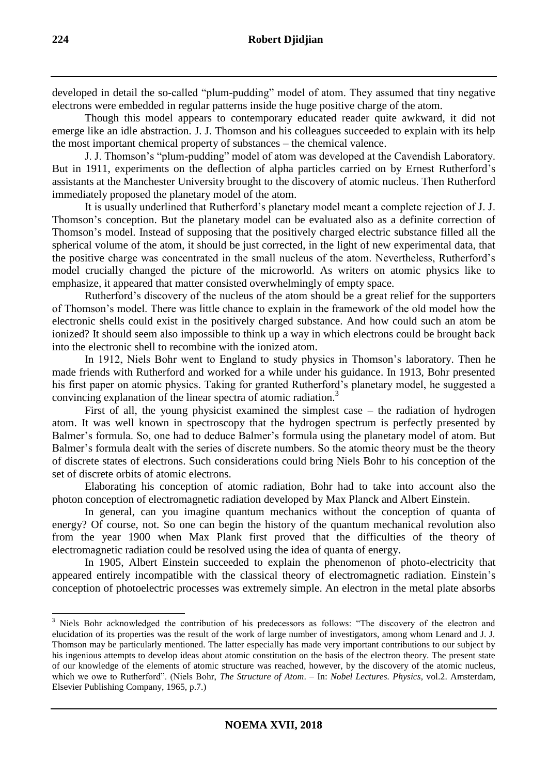developed in detail the so-called "plum-pudding" model of atom. They assumed that tiny negative electrons were embedded in regular patterns inside the huge positive charge of the atom.

Though this model appears to contemporary educated reader quite awkward, it did not emerge like an idle abstraction. J. J. Thomson and his colleagues succeeded to explain with its help the most important chemical property of substances – the chemical valence.

J. J. Thomson's "plum-pudding" model of atom was developed at the Cavendish Laboratory. But in 1911, experiments on the deflection of alpha particles carried on by Ernest Rutherford's assistants at the Manchester University brought to the discovery of atomic nucleus. Then Rutherford immediately proposed the planetary model of the atom.

It is usually underlined that Rutherford's planetary model meant a complete rejection of J. J. Thomson's conception. But the planetary model can be evaluated also as a definite correction of Thomson's model. Instead of supposing that the positively charged electric substance filled all the spherical volume of the atom, it should be just corrected, in the light of new experimental data, that the positive charge was concentrated in the small nucleus of the atom. Nevertheless, Rutherford's model crucially changed the picture of the microworld. As writers on atomic physics like to emphasize, it appeared that matter consisted overwhelmingly of empty space.

Rutherford's discovery of the nucleus of the atom should be a great relief for the supporters of Thomson's model. There was little chance to explain in the framework of the old model how the electronic shells could exist in the positively charged substance. And how could such an atom be ionized? It should seem also impossible to think up a way in which electrons could be brought back into the electronic shell to recombine with the ionized atom.

In 1912, Niels Bohr went to England to study physics in Thomson's laboratory. Then he made friends with Rutherford and worked for a while under his guidance. In 1913, Bohr presented his first paper on atomic physics. Taking for granted Rutherford's planetary model, he suggested a convincing explanation of the linear spectra of atomic radiation.<sup>3</sup>

First of all, the young physicist examined the simplest case – the radiation of hydrogen atom. It was well known in spectroscopy that the hydrogen spectrum is perfectly presented by Balmer's formula. So, one had to deduce Balmer's formula using the planetary model of atom. But Balmer's formula dealt with the series of discrete numbers. So the atomic theory must be the theory of discrete states of electrons. Such considerations could bring Niels Bohr to his conception of the set of discrete orbits of atomic electrons.

Elaborating his conception of atomic radiation, Bohr had to take into account also the photon conception of electromagnetic radiation developed by Max Planck and Albert Einstein.

In general, can you imagine quantum mechanics without the conception of quanta of energy? Of course, not. So one can begin the history of the quantum mechanical revolution also from the year 1900 when Max Plank first proved that the difficulties of the theory of electromagnetic radiation could be resolved using the idea of quanta of energy.

In 1905, Albert Einstein succeeded to explain the phenomenon of photo-electricity that appeared entirely incompatible with the classical theory of electromagnetic radiation. Einstein's conception of photoelectric processes was extremely simple. An electron in the metal plate absorbs

<sup>&</sup>lt;sup>3</sup> Niels Bohr acknowledged the contribution of his predecessors as follows: "The discovery of the electron and elucidation of its properties was the result of the work of large number of investigators, among whom Lenard and J. J. Thomson may be particularly mentioned. The latter especially has made very important contributions to our subject by his ingenious attempts to develop ideas about atomic constitution on the basis of the electron theory. The present state of our knowledge of the elements of atomic structure was reached, however, by the discovery of the atomic nucleus, which we owe to Rutherford". (Niels Bohr, *The Structure of Atom*. – In: *Nobel Lectures. Physics*, vol.2. Amsterdam, Elsevier Publishing Company, 1965, p.7.)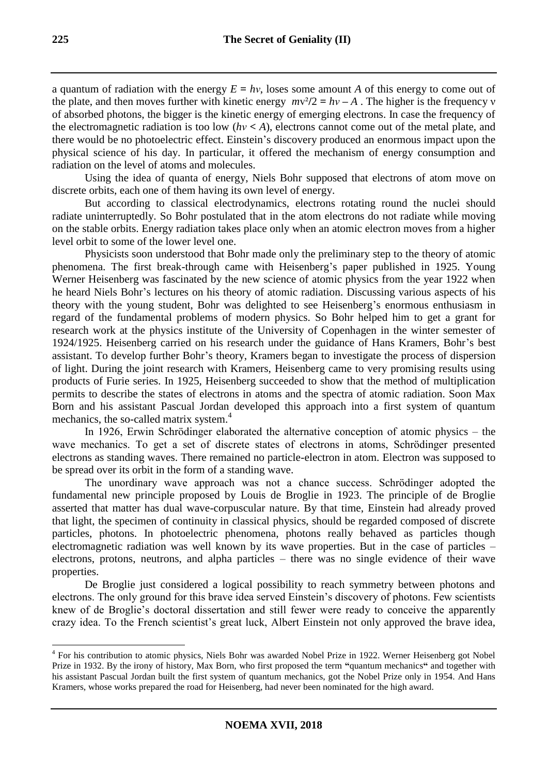a quantum of radiation with the energy  $E = hv$ , loses some amount A of this energy to come out of the plate, and then moves further with kinetic energy  $mv^2/2 = hv - A$ . The higher is the frequency v of absorbed photons, the bigger is the kinetic energy of emerging electrons. In case the frequency of the electromagnetic radiation is too low  $(hv < A)$ , electrons cannot come out of the metal plate, and there would be no photoelectric effect. Einstein's discovery produced an enormous impact upon the physical science of his day. In particular, it offered the mechanism of energy consumption and radiation on the level of atoms and molecules.

Using the idea of quanta of energy, Niels Bohr supposed that electrons of atom move on discrete orbits, each one of them having its own level of energy.

But according to classical electrodynamics, electrons rotating round the nuclei should radiate uninterruptedly. So Bohr postulated that in the atom electrons do not radiate while moving on the stable orbits. Energy radiation takes place only when an atomic electron moves from a higher level orbit to some of the lower level one.

Physicists soon understood that Bohr made only the preliminary step to the theory of atomic phenomena. The first break-through came with Heisenberg's paper published in 1925. Young Werner Heisenberg was fascinated by the new science of atomic physics from the year 1922 when he heard Niels Bohr's lectures on his theory of atomic radiation. Discussing various aspects of his theory with the young student, Bohr was delighted to see Heisenberg's enormous enthusiasm in regard of the fundamental problems of modern physics. So Bohr helped him to get a grant for research work at the physics institute of the University of Copenhagen in the winter semester of 1924/1925. Heisenberg carried on his research under the guidance of Hans Kramers, Bohr's best assistant. To develop further Bohr's theory, Kramers began to investigate the process of dispersion of light. During the joint research with Kramers, Heisenberg came to very promising results using products of Furie series. In 1925, Heisenberg succeeded to show that the method of multiplication permits to describe the states of electrons in atoms and the spectra of atomic radiation. Soon Max Born and his assistant Pascual Jordan developed this approach into a first system of quantum mechanics, the so-called matrix system.<sup>4</sup>

In 1926, Erwin Schrödinger elaborated the alternative conception of atomic physics – the wave mechanics. To get a set of discrete states of electrons in atoms, Schrödinger presented electrons as standing waves. There remained no particle-electron in atom. Electron was supposed to be spread over its orbit in the form of a standing wave.

The unordinary wave approach was not a chance success. Schrödinger adopted the fundamental new principle proposed by Louis de Broglie in 1923. The principle of de Broglie asserted that matter has dual wave-corpuscular nature. By that time, Einstein had already proved that light, the specimen of continuity in classical physics, should be regarded composed of discrete particles, photons. In photoelectric phenomena, photons really behaved as particles though electromagnetic radiation was well known by its wave properties. But in the case of particles – electrons, protons, neutrons, and alpha particles – there was no single evidence of their wave properties.

De Broglie just considered a logical possibility to reach symmetry between photons and electrons. The only ground for this brave idea served Einstein's discovery of photons. Few scientists knew of de Broglie's doctoral dissertation and still fewer were ready to conceive the apparently crazy idea. To the French scientist's great luck, Albert Einstein not only approved the brave idea,

<sup>&</sup>lt;sup>4</sup> For his contribution to atomic physics, Niels Bohr was awarded Nobel Prize in 1922. Werner Heisenberg got Nobel Prize in 1932. By the irony of history, Max Born, who first proposed the term **"**quantum mechanics**"** and together with his assistant Pascual Jordan built the first system of quantum mechanics, got the Nobel Prize only in 1954. And Hans Kramers, whose works prepared the road for Heisenberg, had never been nominated for the high award.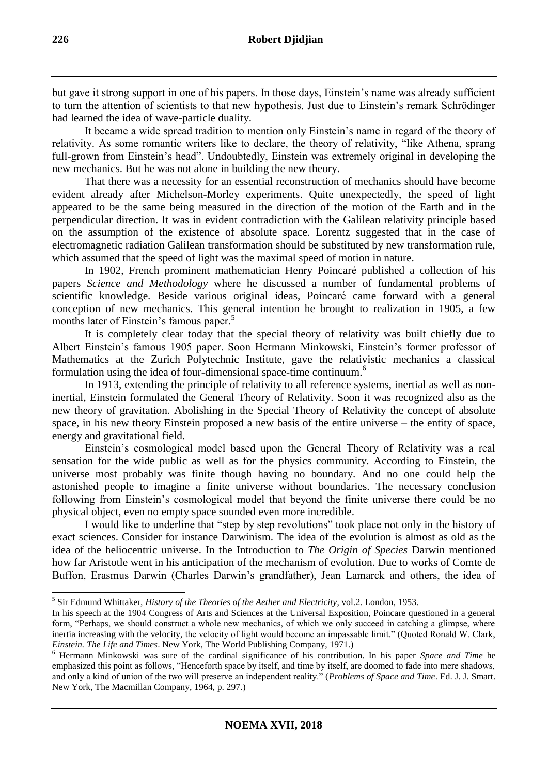but gave it strong support in one of his papers. In those days, Einstein's name was already sufficient to turn the attention of scientists to that new hypothesis. Just due to Einstein's remark Schrödinger had learned the idea of wave-particle duality.

It became a wide spread tradition to mention only Einstein's name in regard of the theory of relativity. As some romantic writers like to declare, the theory of relativity, "like Athena, sprang full-grown from Einstein's head". Undoubtedly, Einstein was extremely original in developing the new mechanics. But he was not alone in building the new theory.

That there was a necessity for an essential reconstruction of mechanics should have become evident already after Michelson-Morley experiments. Quite unexpectedly, the speed of light appeared to be the same being measured in the direction of the motion of the Earth and in the perpendicular direction. It was in evident contradiction with the Galilean relativity principle based on the assumption of the existence of absolute space. Lorentz suggested that in the case of electromagnetic radiation Galilean transformation should be substituted by new transformation rule, which assumed that the speed of light was the maximal speed of motion in nature.

In 1902, French prominent mathematician Henry Poincaré published a collection of his papers *Science and Methodology* where he discussed a number of fundamental problems of scientific knowledge. Beside various original ideas, Poincaré came forward with a general conception of new mechanics. This general intention he brought to realization in 1905, a few months later of Einstein's famous paper.<sup>5</sup>

It is completely clear today that the special theory of relativity was built chiefly due to Albert Einstein's famous 1905 paper. Soon Hermann Minkowski, Einstein's former professor of Mathematics at the Zurich Polytechnic Institute, gave the relativistic mechanics a classical formulation using the idea of four-dimensional space-time continuum.<sup>6</sup>

In 1913, extending the principle of relativity to all reference systems, inertial as well as noninertial, Einstein formulated the General Theory of Relativity. Soon it was recognized also as the new theory of gravitation. Abolishing in the Special Theory of Relativity the concept of absolute space, in his new theory Einstein proposed a new basis of the entire universe – the entity of space, energy and gravitational field.

Einstein's cosmological model based upon the General Theory of Relativity was a real sensation for the wide public as well as for the physics community. According to Einstein, the universe most probably was finite though having no boundary. And no one could help the astonished people to imagine a finite universe without boundaries. The necessary conclusion following from Einstein's cosmological model that beyond the finite universe there could be no physical object, even no empty space sounded even more incredible.

I would like to underline that "step by step revolutions" took place not only in the history of exact sciences. Consider for instance Darwinism. The idea of the evolution is almost as old as the idea of the heliocentric universe. In the Introduction to *The Origin of Species* Darwin mentioned how far Aristotle went in his anticipation of the mechanism of evolution. Due to works of Comte de Buffon, Erasmus Darwin (Charles Darwin's grandfather), Jean Lamarck and others, the idea of

 5 Sir Edmund Whittaker, *History of the Theories of the Aether and Electricity*, vol.2. London, 1953.

In his speech at the 1904 Congress of Arts and Sciences at the Universal Exposition, Poincare questioned in a general form, "Perhaps, we should construct a whole new mechanics, of which we only succeed in catching a glimpse, where inertia increasing with the velocity, the velocity of light would become an impassable limit." (Quoted Ronald W. Clark, *Einstein. The Life and Times*. New York, The World Publishing Company, 1971.)

<sup>6</sup> Hermann Minkowski was sure of the cardinal significance of his contribution. In his paper *Space and Time* he emphasized this point as follows, "Henceforth space by itself, and time by itself, are doomed to fade into mere shadows, and only a kind of union of the two will preserve an independent reality." (*Problems of Space and Time*. Ed. J. J. Smart. New York, The Macmillan Company, 1964, p. 297.)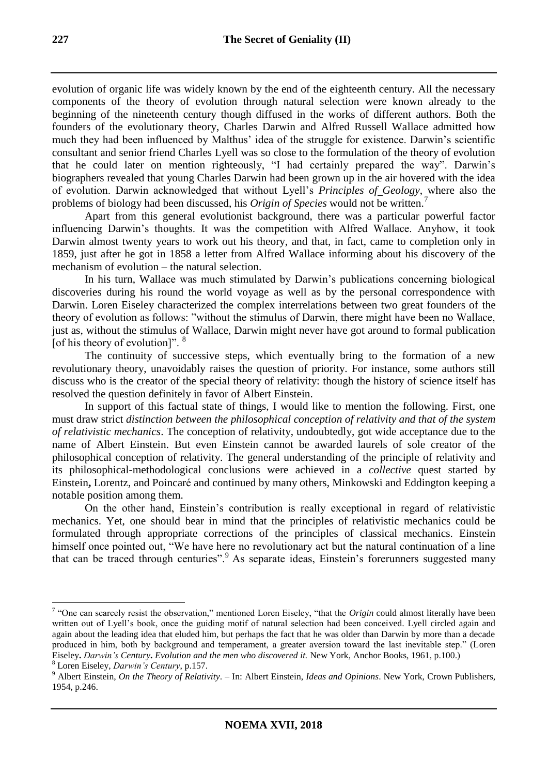evolution of organic life was widely known by the end of the eighteenth century. All the necessary components of the theory of evolution through natural selection were known already to the beginning of the nineteenth century though diffused in the works of different authors. Both the founders of the evolutionary theory, Charles Darwin and Alfred Russell Wallace admitted how much they had been influenced by Malthus' idea of the struggle for existence. Darwin's scientific consultant and senior friend Charles Lyell was so close to the formulation of the theory of evolution that he could later on mention righteously, "I had certainly prepared the way". Darwin's biographers revealed that young Charles Darwin had been grown up in the air hovered with the idea of evolution. Darwin acknowledged that without Lyell's *Principles of Geology*, where also the problems of biology had been discussed, his *Origin of Species* would not be written.<sup>7</sup>

Apart from this general evolutionist background, there was a particular powerful factor influencing Darwin's thoughts. It was the competition with Alfred Wallace. Anyhow, it took Darwin almost twenty years to work out his theory, and that, in fact, came to completion only in 1859, just after he got in 1858 a letter from Alfred Wallace informing about his discovery of the mechanism of evolution – the natural selection.

In his turn, Wallace was much stimulated by Darwin's publications concerning biological discoveries during his round the world voyage as well as by the personal correspondence with Darwin. Loren Eiseley characterized the complex interrelations between two great founders of the theory of evolution as follows: "without the stimulus of Darwin, there might have been no Wallace, just as, without the stimulus of Wallace, Darwin might never have got around to formal publication [of his theory of evolution]". <sup>8</sup>

The continuity of successive steps, which eventually bring to the formation of a new revolutionary theory, unavoidably raises the question of priority. For instance, some authors still discuss who is the creator of the special theory of relativity: though the history of science itself has resolved the question definitely in favor of Albert Einstein.

In support of this factual state of things, I would like to mention the following. First, one must draw strict *distinction between the philosophical conception of relativity and that of the system of relativistic mechanics*. The conception of relativity, undoubtedly, got wide acceptance due to the name of Albert Einstein. But even Einstein cannot be awarded laurels of sole creator of the philosophical conception of relativity. The general understanding of the principle of relativity and its philosophical-methodological conclusions were achieved in a *collective* quest started by Einstein**,** Lorentz, and Poincaré and continued by many others, Minkowski and Eddington keeping a notable position among them.

On the other hand, Einstein's contribution is really exceptional in regard of relativistic mechanics. Yet, one should bear in mind that the principles of relativistic mechanics could be formulated through appropriate corrections of the principles of classical mechanics. Einstein himself once pointed out, "We have here no revolutionary act but the natural continuation of a line that can be traced through centuries".<sup>9</sup> As separate ideas, Einstein's forerunners suggested many

 7 "One can scarcely resist the observation," mentioned Loren Eiseley, "that the *Origin* could almost literally have been written out of Lyell's book, once the guiding motif of natural selection had been conceived. Lyell circled again and again about the leading idea that eluded him, but perhaps the fact that he was older than Darwin by more than a decade produced in him, both by background and temperament, a greater aversion toward the last inevitable step." (Loren Eiseley**.** *Darwin's Century***.** *Evolution and the men who discovered it.* New York*,* Anchor Books, 1961, p.100.)

<sup>8</sup> Loren Eiseley, *Darwin's Century*, p.157.

<sup>9</sup> Albert Einstein, *On the Theory of Relativity*. – In: Albert Einstein, *Ideas and Opinions*. New York, Crown Publishers, 1954, p.246.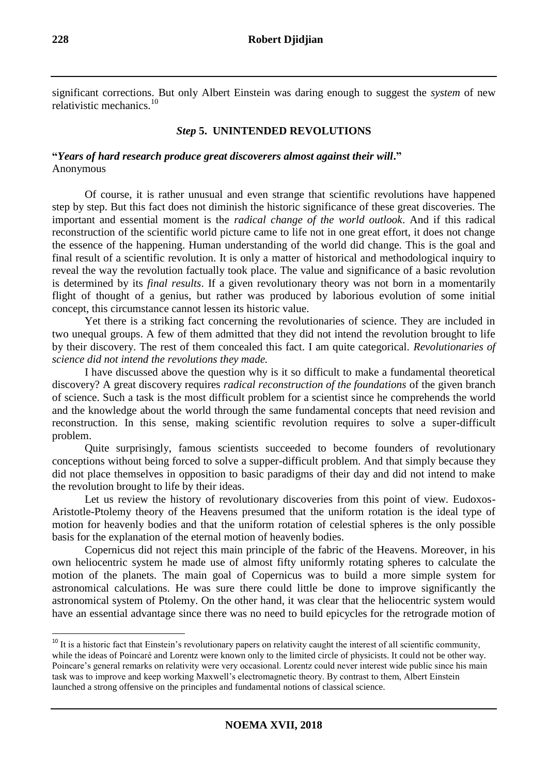significant corrections. But only Albert Einstein was daring enough to suggest the *system* of new relativistic mechanics.<sup>10</sup>

# *Step* **5. UNINTENDED REVOLUTIONS**

# **"***Years of hard research produce great discoverers almost against their will***."** Anonymous

Of course, it is rather unusual and even strange that scientific revolutions have happened step by step. But this fact does not diminish the historic significance of these great discoveries. The important and essential moment is the *radical change of the world outlook*. And if this radical reconstruction of the scientific world picture came to life not in one great effort, it does not change the essence of the happening. Human understanding of the world did change. This is the goal and final result of a scientific revolution. It is only a matter of historical and methodological inquiry to reveal the way the revolution factually took place. The value and significance of a basic revolution is determined by its *final results*. If a given revolutionary theory was not born in a momentarily flight of thought of a genius, but rather was produced by laborious evolution of some initial concept, this circumstance cannot lessen its historic value.

Yet there is a striking fact concerning the revolutionaries of science. They are included in two unequal groups. A few of them admitted that they did not intend the revolution brought to life by their discovery. The rest of them concealed this fact. I am quite categorical. *Revolutionaries of science did not intend the revolutions they made.*

I have discussed above the question why is it so difficult to make a fundamental theoretical discovery? A great discovery requires *radical reconstruction of the foundations* of the given branch of science. Such a task is the most difficult problem for a scientist since he comprehends the world and the knowledge about the world through the same fundamental concepts that need revision and reconstruction. In this sense, making scientific revolution requires to solve a super-difficult problem.

Quite surprisingly, famous scientists succeeded to become founders of revolutionary conceptions without being forced to solve a supper-difficult problem. And that simply because they did not place themselves in opposition to basic paradigms of their day and did not intend to make the revolution brought to life by their ideas.

Let us review the history of revolutionary discoveries from this point of view. Eudoxos-Aristotle-Ptolemy theory of the Heavens presumed that the uniform rotation is the ideal type of motion for heavenly bodies and that the uniform rotation of celestial spheres is the only possible basis for the explanation of the eternal motion of heavenly bodies.

Copernicus did not reject this main principle of the fabric of the Heavens. Moreover, in his own heliocentric system he made use of almost fifty uniformly rotating spheres to calculate the motion of the planets. The main goal of Copernicus was to build a more simple system for astronomical calculations. He was sure there could little be done to improve significantly the astronomical system of Ptolemy. On the other hand, it was clear that the heliocentric system would have an essential advantage since there was no need to build epicycles for the retrograde motion of

 $10$  It is a historic fact that Einstein's revolutionary papers on relativity caught the interest of all scientific community, while the ideas of Poincaré and Lorentz were known only to the limited circle of physicists. It could not be other way. Poincare's general remarks on relativity were very occasional. Lorentz could never interest wide public since his main task was to improve and keep working Maxwell's electromagnetic theory. By contrast to them, Albert Einstein launched a strong offensive on the principles and fundamental notions of classical science.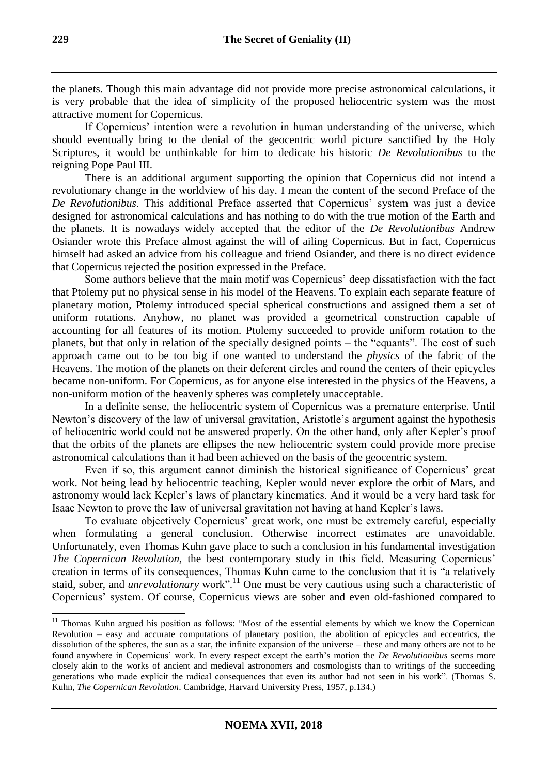the planets. Though this main advantage did not provide more precise astronomical calculations, it is very probable that the idea of simplicity of the proposed heliocentric system was the most attractive moment for Copernicus.

If Copernicus' intention were a revolution in human understanding of the universe, which should eventually bring to the denial of the geocentric world picture sanctified by the Holy Scriptures, it would be unthinkable for him to dedicate his historic *De Revolutionibus* to the reigning Pope Paul III.

There is an additional argument supporting the opinion that Copernicus did not intend a revolutionary change in the worldview of his day. I mean the content of the second Preface of the *De Revolutionibus*. This additional Preface asserted that Copernicus' system was just a device designed for astronomical calculations and has nothing to do with the true motion of the Earth and the planets. It is nowadays widely accepted that the editor of the *De Revolutionibus* Andrew Osiander wrote this Preface almost against the will of ailing Copernicus. But in fact, Copernicus himself had asked an advice from his colleague and friend Osiander, and there is no direct evidence that Copernicus rejected the position expressed in the Preface.

Some authors believe that the main motif was Copernicus' deep dissatisfaction with the fact that Ptolemy put no physical sense in his model of the Heavens. To explain each separate feature of planetary motion, Ptolemy introduced special spherical constructions and assigned them a set of uniform rotations. Anyhow, no planet was provided a geometrical construction capable of accounting for all features of its motion. Ptolemy succeeded to provide uniform rotation to the planets, but that only in relation of the specially designed points – the "equants". The cost of such approach came out to be too big if one wanted to understand the *physics* of the fabric of the Heavens. The motion of the planets on their deferent circles and round the centers of their epicycles became non-uniform. For Copernicus, as for anyone else interested in the physics of the Heavens, a non-uniform motion of the heavenly spheres was completely unacceptable.

In a definite sense, the heliocentric system of Copernicus was a premature enterprise. Until Newton's discovery of the law of universal gravitation, Aristotle's argument against the hypothesis of heliocentric world could not be answered properly. On the other hand, only after Kepler's proof that the orbits of the planets are ellipses the new heliocentric system could provide more precise astronomical calculations than it had been achieved on the basis of the geocentric system.

Even if so, this argument cannot diminish the historical significance of Copernicus' great work. Not being lead by heliocentric teaching, Kepler would never explore the orbit of Mars, and astronomy would lack Kepler's laws of planetary kinematics. And it would be a very hard task for Isaac Newton to prove the law of universal gravitation not having at hand Kepler's laws.

To evaluate objectively Copernicus' great work, one must be extremely careful, especially when formulating a general conclusion. Otherwise incorrect estimates are unavoidable. Unfortunately, even Thomas Kuhn gave place to such a conclusion in his fundamental investigation *The Copernican Revolution,* the best contemporary study in this field. Measuring Copernicus' creation in terms of its consequences, Thomas Kuhn came to the conclusion that it is "a relatively staid, sober, and *unrevolutionary* work".<sup>11</sup> One must be very cautious using such a characteristic of Copernicus' system. Of course, Copernicus views are sober and even old-fashioned compared to

<sup>&</sup>lt;sup>11</sup> Thomas Kuhn argued his position as follows: "Most of the essential elements by which we know the Copernican Revolution – easy and accurate computations of planetary position, the abolition of epicycles and eccentrics, the dissolution of the spheres, the sun as a star, the infinite expansion of the universe – these and many others are not to be found anywhere in Copernicus' work. In every respect except the earth's motion the *De Revolutionibus* seems more closely akin to the works of ancient and medieval astronomers and cosmologists than to writings of the succeeding generations who made explicit the radical consequences that even its author had not seen in his work". (Thomas S. Kuhn, *The Copernican Revolution*. Cambridge, Harvard University Press, 1957, p.134.)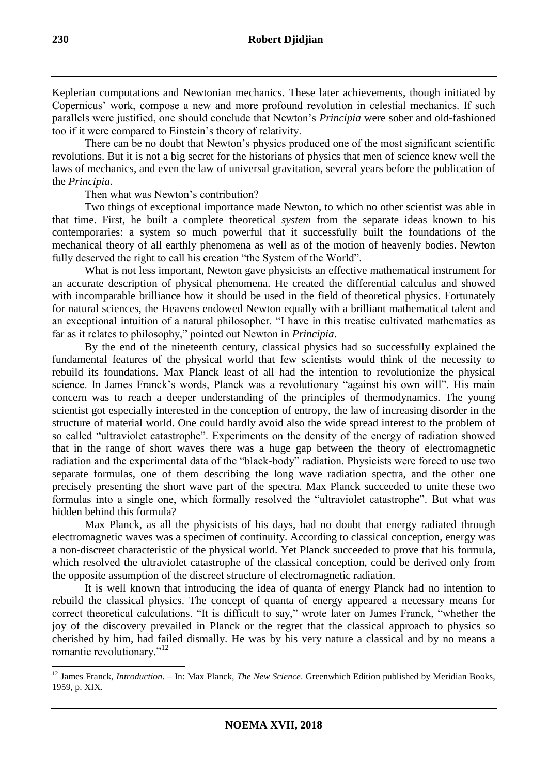Keplerian computations and Newtonian mechanics. These later achievements, though initiated by Copernicus' work, compose a new and more profound revolution in celestial mechanics. If such parallels were justified, one should conclude that Newton's *Principia* were sober and old-fashioned too if it were compared to Einstein's theory of relativity.

There can be no doubt that Newton's physics produced one of the most significant scientific revolutions. But it is not a big secret for the historians of physics that men of science knew well the laws of mechanics, and even the law of universal gravitation, several years before the publication of the *Principia*.

Then what was Newton's contribution?

Two things of exceptional importance made Newton, to which no other scientist was able in that time. First, he built a complete theoretical *system* from the separate ideas known to his contemporaries: a system so much powerful that it successfully built the foundations of the mechanical theory of all earthly phenomena as well as of the motion of heavenly bodies. Newton fully deserved the right to call his creation "the System of the World".

What is not less important, Newton gave physicists an effective mathematical instrument for an accurate description of physical phenomena. He created the differential calculus and showed with incomparable brilliance how it should be used in the field of theoretical physics. Fortunately for natural sciences, the Heavens endowed Newton equally with a brilliant mathematical talent and an exceptional intuition of a natural philosopher. "I have in this treatise cultivated mathematics as far as it relates to philosophy," pointed out Newton in *Principia*.

By the end of the nineteenth century, classical physics had so successfully explained the fundamental features of the physical world that few scientists would think of the necessity to rebuild its foundations. Max Planck least of all had the intention to revolutionize the physical science. In James Franck's words, Planck was a revolutionary "against his own will". His main concern was to reach a deeper understanding of the principles of thermodynamics. The young scientist got especially interested in the conception of entropy, the law of increasing disorder in the structure of material world. One could hardly avoid also the wide spread interest to the problem of so called "ultraviolet catastrophe". Experiments on the density of the energy of radiation showed that in the range of short waves there was a huge gap between the theory of electromagnetic radiation and the experimental data of the "black-body" radiation. Physicists were forced to use two separate formulas, one of them describing the long wave radiation spectra, and the other one precisely presenting the short wave part of the spectra. Max Planck succeeded to unite these two formulas into a single one, which formally resolved the "ultraviolet catastrophe". But what was hidden behind this formula?

Max Planck, as all the physicists of his days, had no doubt that energy radiated through electromagnetic waves was a specimen of continuity. According to classical conception, energy was a non-discreet characteristic of the physical world. Yet Planck succeeded to prove that his formula, which resolved the ultraviolet catastrophe of the classical conception, could be derived only from the opposite assumption of the discreet structure of electromagnetic radiation.

It is well known that introducing the idea of quanta of energy Planck had no intention to rebuild the classical physics. The concept of quanta of energy appeared a necessary means for correct theoretical calculations. "It is difficult to say," wrote later on James Franck, "whether the joy of the discovery prevailed in Planck or the regret that the classical approach to physics so cherished by him, had failed dismally. He was by his very nature a classical and by no means a romantic revolutionary."<sup>12</sup>

<sup>12</sup> James Franck, *Introduction*. – In: Max Planck, *The New Science*. Greenwhich Edition published by Meridian Books, 1959, p. XIX.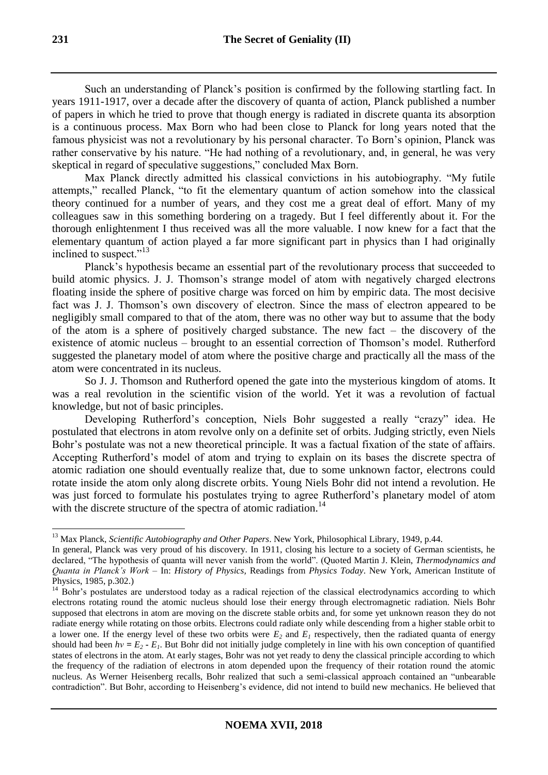Such an understanding of Planck's position is confirmed by the following startling fact. In years 1911-1917, over a decade after the discovery of quanta of action, Planck published a number of papers in which he tried to prove that though energy is radiated in discrete quanta its absorption is a continuous process. Max Born who had been close to Planck for long years noted that the famous physicist was not a revolutionary by his personal character. To Born's opinion, Planck was rather conservative by his nature. "He had nothing of a revolutionary, and, in general, he was very skeptical in regard of speculative suggestions," concluded Max Born.

Max Planck directly admitted his classical convictions in his autobiography. "My futile attempts," recalled Planck, "to fit the elementary quantum of action somehow into the classical theory continued for a number of years, and they cost me a great deal of effort. Many of my colleagues saw in this something bordering on a tragedy. But I feel differently about it. For the thorough enlightenment I thus received was all the more valuable. I now knew for a fact that the elementary quantum of action played a far more significant part in physics than I had originally inclined to suspect."<sup>13</sup>

Planck's hypothesis became an essential part of the revolutionary process that succeeded to build atomic physics. J. J. Thomson's strange model of atom with negatively charged electrons floating inside the sphere of positive charge was forced on him by empiric data. The most decisive fact was J. J. Thomson's own discovery of electron. Since the mass of electron appeared to be negligibly small compared to that of the atom, there was no other way but to assume that the body of the atom is a sphere of positively charged substance. The new fact – the discovery of the existence of atomic nucleus – brought to an essential correction of Thomson's model. Rutherford suggested the planetary model of atom where the positive charge and practically all the mass of the atom were concentrated in its nucleus.

So J. J. Thomson and Rutherford opened the gate into the mysterious kingdom of atoms. It was a real revolution in the scientific vision of the world. Yet it was a revolution of factual knowledge, but not of basic principles.

Developing Rutherford's conception, Niels Bohr suggested a really "crazy" idea. He postulated that electrons in atom revolve only on a definite set of orbits. Judging strictly, even Niels Bohr's postulate was not a new theoretical principle. It was a factual fixation of the state of affairs. Accepting Rutherford's model of atom and trying to explain on its bases the discrete spectra of atomic radiation one should eventually realize that, due to some unknown factor, electrons could rotate inside the atom only along discrete orbits. Young Niels Bohr did not intend a revolution. He was just forced to formulate his postulates trying to agree Rutherford's planetary model of atom with the discrete structure of the spectra of atomic radiation.<sup>14</sup>

<sup>-</sup><sup>13</sup> Max Planck, *Scientific Autobiography and Other Papers*. New York, Philosophical Library, 1949, p.44.

In general, Planck was very proud of his discovery. In 1911, closing his lecture to a society of German scientists, he declared, "The hypothesis of quanta will never vanish from the world". (Quoted Martin J. Klein, *Thermodynamics and Quanta in Planck's Work* – In: *History of Physics,* Readings from *Physics Today*. New York, American Institute of Physics, 1985, p.302.)

<sup>&</sup>lt;sup>14</sup> Bohr's postulates are understood today as a radical rejection of the classical electrodynamics according to which electrons rotating round the atomic nucleus should lose their energy through electromagnetic radiation. Niels Bohr supposed that electrons in atom are moving on the discrete stable orbits and, for some yet unknown reason they do not radiate energy while rotating on those orbits. Electrons could radiate only while descending from a higher stable orbit to a lower one. If the energy level of these two orbits were  $E_2$  and  $E_1$  respectively, then the radiated quanta of energy should had been  $hv = E_2 - E_1$ . But Bohr did not initially judge completely in line with his own conception of quantified states of electrons in the atom. At early stages, Bohr was not yet ready to deny the classical principle according to which the frequency of the radiation of electrons in atom depended upon the frequency of their rotation round the atomic nucleus. As Werner Heisenberg recalls, Bohr realized that such a semi-classical approach contained an "unbearable contradiction". But Bohr, according to Heisenberg's evidence, did not intend to build new mechanics. He believed that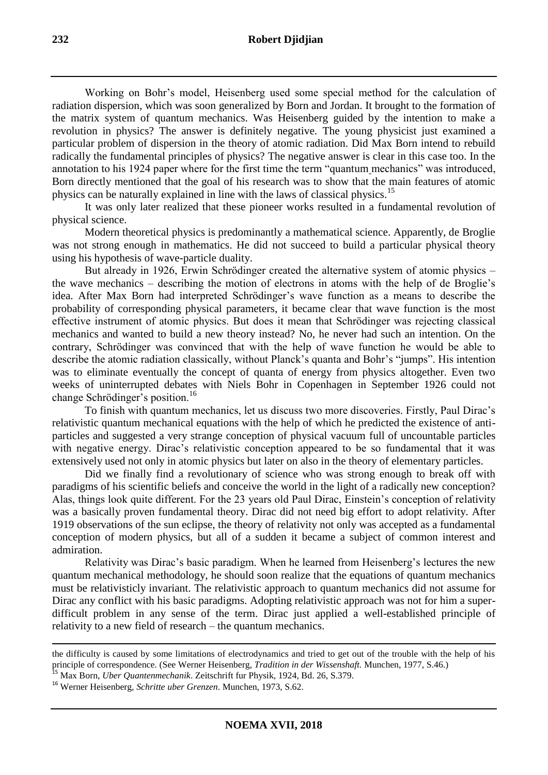Working on Bohr's model, Heisenberg used some special method for the calculation of radiation dispersion, which was soon generalized by Born and Jordan. It brought to the formation of the matrix system of quantum mechanics. Was Heisenberg guided by the intention to make a revolution in physics? The answer is definitely negative. The young physicist just examined a particular problem of dispersion in the theory of atomic radiation. Did Max Born intend to rebuild radically the fundamental principles of physics? The negative answer is clear in this case too. In the annotation to his 1924 paper where for the first time the term "quantum mechanics" was introduced, Born directly mentioned that the goal of his research was to show that the main features of atomic physics can be naturally explained in line with the laws of classical physics.<sup>15</sup>

It was only later realized that these pioneer works resulted in a fundamental revolution of physical science.

Modern theoretical physics is predominantly a mathematical science. Apparently, de Broglie was not strong enough in mathematics. He did not succeed to build a particular physical theory using his hypothesis of wave-particle duality.

But already in 1926, Erwin Schrödinger created the alternative system of atomic physics – the wave mechanics – describing the motion of electrons in atoms with the help of de Broglie's idea. After Max Born had interpreted Schrödinger's wave function as a means to describe the probability of corresponding physical parameters, it became clear that wave function is the most effective instrument of atomic physics. But does it mean that Schrödinger was rejecting classical mechanics and wanted to build a new theory instead? No, he never had such an intention. On the contrary, Schrödinger was convinced that with the help of wave function he would be able to describe the atomic radiation classically, without Planck's quanta and Bohr's "jumps". His intention was to eliminate eventually the concept of quanta of energy from physics altogether. Even two weeks of uninterrupted debates with Niels Bohr in Copenhagen in September 1926 could not change Schrödinger's position.<sup>16</sup>

To finish with quantum mechanics, let us discuss two more discoveries. Firstly, Paul Dirac's relativistic quantum mechanical equations with the help of which he predicted the existence of antiparticles and suggested a very strange conception of physical vacuum full of uncountable particles with negative energy. Dirac's relativistic conception appeared to be so fundamental that it was extensively used not only in atomic physics but later on also in the theory of elementary particles.

Did we finally find a revolutionary of science who was strong enough to break off with paradigms of his scientific beliefs and conceive the world in the light of a radically new conception? Alas, things look quite different. For the 23 years old Paul Dirac, Einstein's conception of relativity was a basically proven fundamental theory. Dirac did not need big effort to adopt relativity. After 1919 observations of the sun eclipse, the theory of relativity not only was accepted as a fundamental conception of modern physics, but all of a sudden it became a subject of common interest and admiration.

Relativity was Dirac's basic paradigm. When he learned from Heisenberg's lectures the new quantum mechanical methodology, he should soon realize that the equations of quantum mechanics must be relativisticly invariant. The relativistic approach to quantum mechanics did not assume for Dirac any conflict with his basic paradigms. Adopting relativistic approach was not for him a superdifficult problem in any sense of the term. Dirac just applied a well-established principle of relativity to a new field of research – the quantum mechanics.

the difficulty is caused by some limitations of electrodynamics and tried to get out of the trouble with the help of his principle of correspondence. (See Werner Heisenberg, *Tradition in der Wissenshaft.* Munchen, 1977, S.46.)

<sup>15</sup> Max Born, *Uber Quantenmechanik*. Zeitschrift fur Physik, 1924, Bd. 26, S.379.

<sup>16</sup> Werner Heisenberg, *Schritte uber Grenzen*. Munchen, 1973, S.62.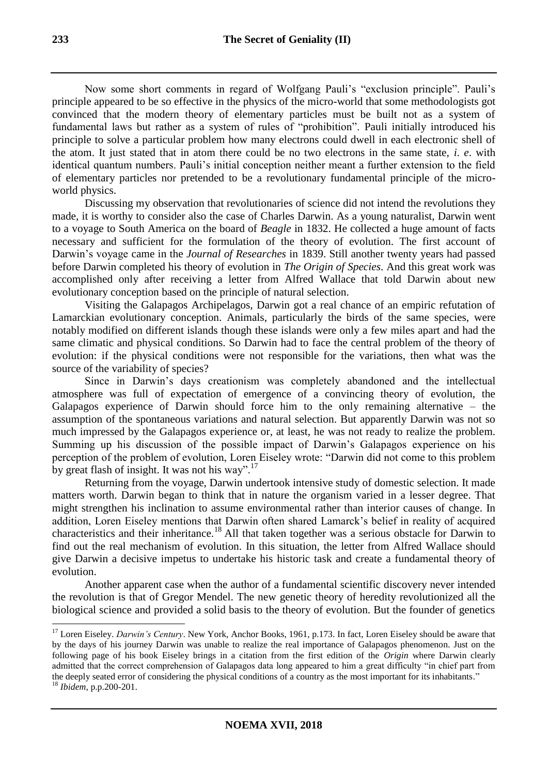Now some short comments in regard of Wolfgang Pauli's "exclusion principle". Pauli's principle appeared to be so effective in the physics of the micro-world that some methodologists got convinced that the modern theory of elementary particles must be built not as a system of fundamental laws but rather as a system of rules of "prohibition". Pauli initially introduced his principle to solve a particular problem how many electrons could dwell in each electronic shell of the atom. It just stated that in atom there could be no two electrons in the same state, *i*. *e*. with identical quantum numbers. Pauli's initial conception neither meant a further extension to the field of elementary particles nor pretended to be a revolutionary fundamental principle of the microworld physics.

Discussing my observation that revolutionaries of science did not intend the revolutions they made, it is worthy to consider also the case of Charles Darwin. As a young naturalist, Darwin went to a voyage to South America on the board of *Beagle* in 1832. He collected a huge amount of facts necessary and sufficient for the formulation of the theory of evolution. The first account of Darwin's voyage came in the *Journal of Researches* in 1839. Still another twenty years had passed before Darwin completed his theory of evolution in *The Origin of Species*. And this great work was accomplished only after receiving a letter from Alfred Wallace that told Darwin about new evolutionary conception based on the principle of natural selection.

Visiting the Galapagos Archipelagos, Darwin got a real chance of an empiric refutation of Lamarckian evolutionary conception. Animals, particularly the birds of the same species, were notably modified on different islands though these islands were only a few miles apart and had the same climatic and physical conditions. So Darwin had to face the central problem of the theory of evolution: if the physical conditions were not responsible for the variations, then what was the source of the variability of species?

Since in Darwin's days creationism was completely abandoned and the intellectual atmosphere was full of expectation of emergence of a convincing theory of evolution, the Galapagos experience of Darwin should force him to the only remaining alternative – the assumption of the spontaneous variations and natural selection. But apparently Darwin was not so much impressed by the Galapagos experience or, at least, he was not ready to realize the problem. Summing up his discussion of the possible impact of Darwin's Galapagos experience on his perception of the problem of evolution, Loren Eiseley wrote: "Darwin did not come to this problem by great flash of insight. It was not his way".<sup>17</sup>

Returning from the voyage, Darwin undertook intensive study of domestic selection. It made matters worth. Darwin began to think that in nature the organism varied in a lesser degree. That might strengthen his inclination to assume environmental rather than interior causes of change. In addition, Loren Eiseley mentions that Darwin often shared Lamarck's belief in reality of acquired characteristics and their inheritance.<sup>18</sup> All that taken together was a serious obstacle for Darwin to find out the real mechanism of evolution. In this situation, the letter from Alfred Wallace should give Darwin a decisive impetus to undertake his historic task and create a fundamental theory of evolution.

Another apparent case when the author of a fundamental scientific discovery never intended the revolution is that of Gregor Mendel. The new genetic theory of heredity revolutionized all the biological science and provided a solid basis to the theory of evolution. But the founder of genetics

<sup>&</sup>lt;sup>17</sup> Loren Eiseley. *Darwin's Century*. New York, Anchor Books, 1961, p.173. In fact, Loren Eiseley should be aware that by the days of his journey Darwin was unable to realize the real importance of Galapagos phenomenon. Just on the following page of his book Eiseley brings in a citation from the first edition of the *Origin* where Darwin clearly admitted that the correct comprehension of Galapagos data long appeared to him a great difficulty "in chief part from the deeply seated error of considering the physical conditions of a country as the most important for its inhabitants*.*"

<sup>18</sup> *Ibidem*, p.p.200-201.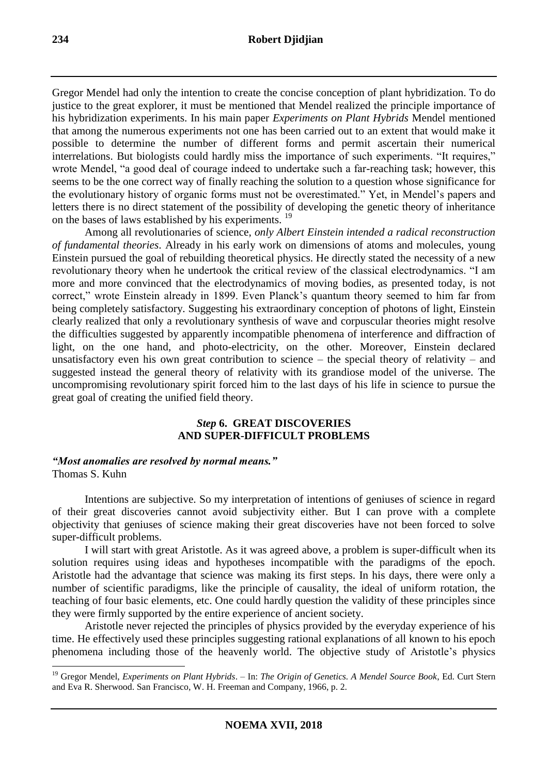Gregor Mendel had only the intention to create the concise conception of plant hybridization. To do justice to the great explorer, it must be mentioned that Mendel realized the principle importance of his hybridization experiments. In his main paper *Experiments on Plant Hybrids* Mendel mentioned that among the numerous experiments not one has been carried out to an extent that would make it possible to determine the number of different forms and permit ascertain their numerical interrelations. But biologists could hardly miss the importance of such experiments. "It requires," wrote Mendel, "a good deal of courage indeed to undertake such a far-reaching task; however, this seems to be the one correct way of finally reaching the solution to a question whose significance for the evolutionary history of organic forms must not be overestimated." Yet, in Mendel's papers and letters there is no direct statement of the possibility of developing the genetic theory of inheritance on the bases of laws established by his experiments. <sup>19</sup>

Among all revolutionaries of science, *only Albert Einstein intended a radical reconstruction of fundamental theories*. Already in his early work on dimensions of atoms and molecules, young Einstein pursued the goal of rebuilding theoretical physics. He directly stated the necessity of a new revolutionary theory when he undertook the critical review of the classical electrodynamics. "I am more and more convinced that the electrodynamics of moving bodies, as presented today, is not correct," wrote Einstein already in 1899. Even Planck's quantum theory seemed to him far from being completely satisfactory. Suggesting his extraordinary conception of photons of light, Einstein clearly realized that only a revolutionary synthesis of wave and corpuscular theories might resolve the difficulties suggested by apparently incompatible phenomena of interference and diffraction of light, on the one hand, and photo-electricity, on the other. Moreover, Einstein declared unsatisfactory even his own great contribution to science – the special theory of relativity – and suggested instead the general theory of relativity with its grandiose model of the universe. The uncompromising revolutionary spirit forced him to the last days of his life in science to pursue the great goal of creating the unified field theory.

# *Step* **6. GREAT DISCOVERIES AND SUPER-DIFFICULT PROBLEMS**

### *"Most anomalies are resolved by normal means."* Thomas S. Kuhn

Intentions are subjective. So my interpretation of intentions of geniuses of science in regard of their great discoveries cannot avoid subjectivity either. But I can prove with a complete objectivity that geniuses of science making their great discoveries have not been forced to solve super-difficult problems.

I will start with great Aristotle. As it was agreed above, a problem is super-difficult when its solution requires using ideas and hypotheses incompatible with the paradigms of the epoch. Aristotle had the advantage that science was making its first steps. In his days, there were only a number of scientific paradigms, like the principle of causality, the ideal of uniform rotation, the teaching of four basic elements, etc. One could hardly question the validity of these principles since they were firmly supported by the entire experience of ancient society.

Aristotle never rejected the principles of physics provided by the everyday experience of his time. He effectively used these principles suggesting rational explanations of all known to his epoch phenomena including those of the heavenly world. The objective study of Aristotle's physics

<sup>19</sup> Gregor Mendel, *Experiments on Plant Hybrids*. – In: *The Origin of Genetics. A Mendel Source Book*, Ed. Curt Stern and Eva R. Sherwood. San Francisco, W. H. Freeman and Company, 1966, p. 2.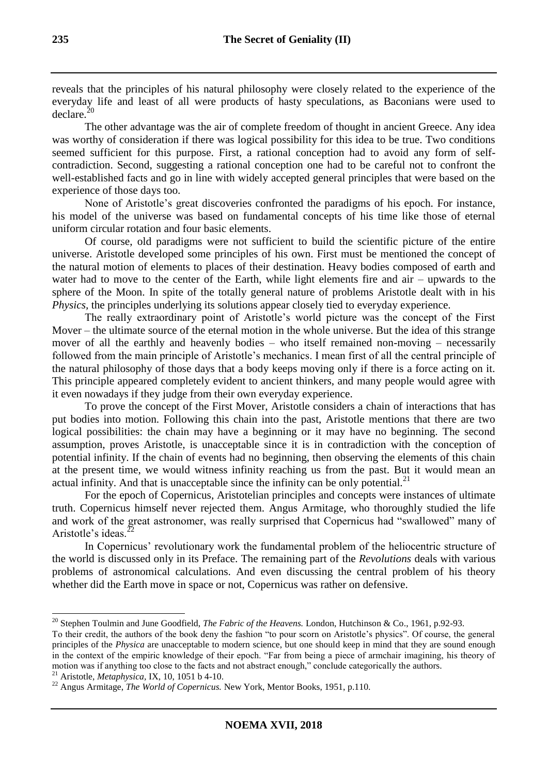reveals that the principles of his natural philosophy were closely related to the experience of the everyday life and least of all were products of hasty speculations, as Baconians were used to declare.<sup>20</sup>

The other advantage was the air of complete freedom of thought in ancient Greece. Any idea was worthy of consideration if there was logical possibility for this idea to be true. Two conditions seemed sufficient for this purpose. First, a rational conception had to avoid any form of selfcontradiction. Second, suggesting a rational conception one had to be careful not to confront the well-established facts and go in line with widely accepted general principles that were based on the experience of those days too.

None of Aristotle's great discoveries confronted the paradigms of his epoch. For instance, his model of the universe was based on fundamental concepts of his time like those of eternal uniform circular rotation and four basic elements.

Of course, old paradigms were not sufficient to build the scientific picture of the entire universe. Aristotle developed some principles of his own. First must be mentioned the concept of the natural motion of elements to places of their destination. Heavy bodies composed of earth and water had to move to the center of the Earth, while light elements fire and air – upwards to the sphere of the Moon. In spite of the totally general nature of problems Aristotle dealt with in his *Physics*, the principles underlying its solutions appear closely tied to everyday experience.

The really extraordinary point of Aristotle's world picture was the concept of the First Mover – the ultimate source of the eternal motion in the whole universe. But the idea of this strange mover of all the earthly and heavenly bodies – who itself remained non-moving – necessarily followed from the main principle of Aristotle's mechanics. I mean first of all the central principle of the natural philosophy of those days that a body keeps moving only if there is a force acting on it. This principle appeared completely evident to ancient thinkers, and many people would agree with it even nowadays if they judge from their own everyday experience.

To prove the concept of the First Mover, Aristotle considers a chain of interactions that has put bodies into motion. Following this chain into the past, Aristotle mentions that there are two logical possibilities: the chain may have a beginning or it may have no beginning. The second assumption, proves Aristotle, is unacceptable since it is in contradiction with the conception of potential infinity. If the chain of events had no beginning, then observing the elements of this chain at the present time, we would witness infinity reaching us from the past. But it would mean an actual infinity. And that is unacceptable since the infinity can be only potential. $^{21}$ 

For the epoch of Copernicus, Aristotelian principles and concepts were instances of ultimate truth. Copernicus himself never rejected them. Angus Armitage, who thoroughly studied the life and work of the great astronomer, was really surprised that Copernicus had "swallowed" many of Aristotle's ideas.<sup>2</sup>

In Copernicus' revolutionary work the fundamental problem of the heliocentric structure of the world is discussed only in its Preface. The remaining part of the *Revolutions* deals with various problems of astronomical calculations. And even discussing the central problem of his theory whether did the Earth move in space or not, Copernicus was rather on defensive.

<sup>&</sup>lt;sup>20</sup> Stephen Toulmin and June Goodfield, *The Fabric of the Heavens*. London, Hutchinson & Co., 1961, p.92-93.

To their credit, the authors of the book deny the fashion "to pour scorn on Aristotle's physics". Of course, the general principles of the *Physica* are unacceptable to modern science, but one should keep in mind that they are sound enough in the context of the empiric knowledge of their epoch. "Far from being a piece of armchair imagining, his theory of motion was if anything too close to the facts and not abstract enough," conclude categorically the authors.

<sup>21</sup> Aristotle, *Metaphysica,* IX, 10, 1051 b 4-10.

<sup>22</sup> Angus Armitage, *The World of Copernicus.* New York, Mentor Books, 1951, p.110.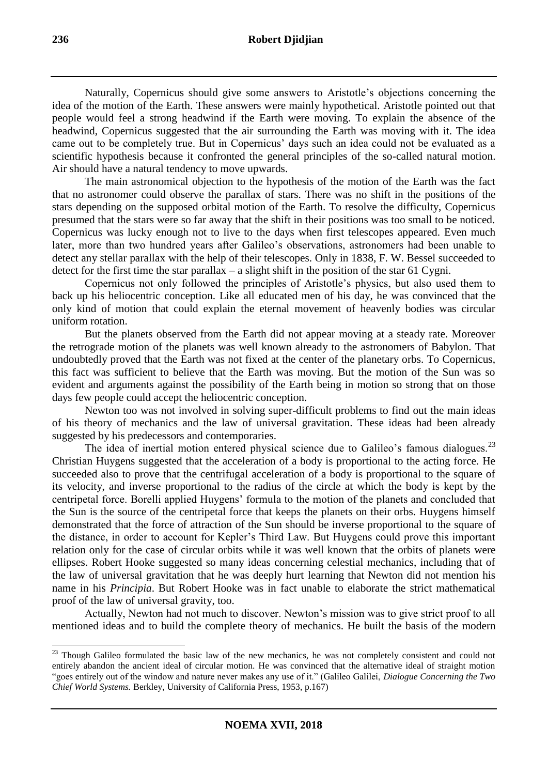Naturally, Copernicus should give some answers to Aristotle's objections concerning the idea of the motion of the Earth. These answers were mainly hypothetical. Aristotle pointed out that people would feel a strong headwind if the Earth were moving. To explain the absence of the headwind, Copernicus suggested that the air surrounding the Earth was moving with it. The idea came out to be completely true. But in Copernicus' days such an idea could not be evaluated as a scientific hypothesis because it confronted the general principles of the so-called natural motion. Air should have a natural tendency to move upwards.

The main astronomical objection to the hypothesis of the motion of the Earth was the fact that no astronomer could observe the parallax of stars. There was no shift in the positions of the stars depending on the supposed orbital motion of the Earth. To resolve the difficulty, Copernicus presumed that the stars were so far away that the shift in their positions was too small to be noticed. Copernicus was lucky enough not to live to the days when first telescopes appeared. Even much later, more than two hundred years after Galileo's observations, astronomers had been unable to detect any stellar parallax with the help of their telescopes. Only in 1838, F. W. Bessel succeeded to detect for the first time the star parallax – a slight shift in the position of the star 61 Cygni.

Copernicus not only followed the principles of Aristotle's physics, but also used them to back up his heliocentric conception. Like all educated men of his day, he was convinced that the only kind of motion that could explain the eternal movement of heavenly bodies was circular uniform rotation.

But the planets observed from the Earth did not appear moving at a steady rate. Moreover the retrograde motion of the planets was well known already to the astronomers of Babylon. That undoubtedly proved that the Earth was not fixed at the center of the planetary orbs. To Copernicus, this fact was sufficient to believe that the Earth was moving. But the motion of the Sun was so evident and arguments against the possibility of the Earth being in motion so strong that on those days few people could accept the heliocentric conception.

Newton too was not involved in solving super-difficult problems to find out the main ideas of his theory of mechanics and the law of universal gravitation. These ideas had been already suggested by his predecessors and contemporaries.

The idea of inertial motion entered physical science due to Galileo's famous dialogues.<sup>23</sup> Christian Huygens suggested that the acceleration of a body is proportional to the acting force. He succeeded also to prove that the centrifugal acceleration of a body is proportional to the square of its velocity, and inverse proportional to the radius of the circle at which the body is kept by the centripetal force. Borelli applied Huygens' formula to the motion of the planets and concluded that the Sun is the source of the centripetal force that keeps the planets on their orbs. Huygens himself demonstrated that the force of attraction of the Sun should be inverse proportional to the square of the distance, in order to account for Kepler's Third Law. But Huygens could prove this important relation only for the case of circular orbits while it was well known that the orbits of planets were ellipses. Robert Hooke suggested so many ideas concerning celestial mechanics, including that of the law of universal gravitation that he was deeply hurt learning that Newton did not mention his name in his *Principia*. But Robert Hooke was in fact unable to elaborate the strict mathematical proof of the law of universal gravity, too.

Actually, Newton had not much to discover. Newton's mission was to give strict proof to all mentioned ideas and to build the complete theory of mechanics. He built the basis of the modern

<sup>&</sup>lt;sup>23</sup> Though Galileo formulated the basic law of the new mechanics, he was not completely consistent and could not entirely abandon the ancient ideal of circular motion. He was convinced that the alternative ideal of straight motion "goes entirely out of the window and nature never makes any use of it." (Galileo Galilei, *Dialogue Concerning the Two Chief World Systems.* Berkley, University of California Press, 1953, p.167)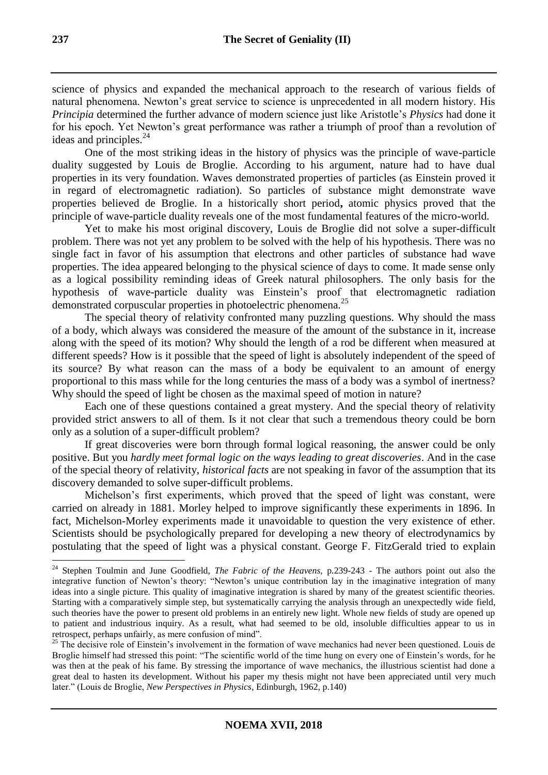science of physics and expanded the mechanical approach to the research of various fields of natural phenomena. Newton's great service to science is unprecedented in all modern history. His *Principia* determined the further advance of modern science just like Aristotle's *Physics* had done it for his epoch. Yet Newton's great performance was rather a triumph of proof than a revolution of ideas and principles.<sup>24</sup>

One of the most striking ideas in the history of physics was the principle of wave-particle duality suggested by Louis de Broglie. According to his argument, nature had to have dual properties in its very foundation. Waves demonstrated properties of particles (as Einstein proved it in regard of electromagnetic radiation). So particles of substance might demonstrate wave properties believed de Broglie. In a historically short period**,** atomic physics proved that the principle of wave-particle duality reveals one of the most fundamental features of the micro-world.

Yet to make his most original discovery, Louis de Broglie did not solve a super-difficult problem. There was not yet any problem to be solved with the help of his hypothesis. There was no single fact in favor of his assumption that electrons and other particles of substance had wave properties. The idea appeared belonging to the physical science of days to come. It made sense only as a logical possibility reminding ideas of Greek natural philosophers. The only basis for the hypothesis of wave-particle duality was Einstein's proof that electromagnetic radiation demonstrated corpuscular properties in photoelectric phenomena.<sup>25</sup>

The special theory of relativity confronted many puzzling questions. Why should the mass of a body, which always was considered the measure of the amount of the substance in it, increase along with the speed of its motion? Why should the length of a rod be different when measured at different speeds? How is it possible that the speed of light is absolutely independent of the speed of its source? By what reason can the mass of a body be equivalent to an amount of energy proportional to this mass while for the long centuries the mass of a body was a symbol of inertness? Why should the speed of light be chosen as the maximal speed of motion in nature?

Each one of these questions contained a great mystery. And the special theory of relativity provided strict answers to all of them. Is it not clear that such a tremendous theory could be born only as a solution of a super-difficult problem?

If great discoveries were born through formal logical reasoning, the answer could be only positive. But you *hardly meet formal logic on the ways leading to great discoveries*. And in the case of the special theory of relativity, *historical facts* are not speaking in favor of the assumption that its discovery demanded to solve super-difficult problems.

Michelson's first experiments, which proved that the speed of light was constant, were carried on already in 1881. Morley helped to improve significantly these experiments in 1896. In fact, Michelson-Morley experiments made it unavoidable to question the very existence of ether. Scientists should be psychologically prepared for developing a new theory of electrodynamics by postulating that the speed of light was a physical constant. George F. FitzGerald tried to explain

<sup>24</sup> Stephen Toulmin and June Goodfield, *The Fabric of the Heavens,* p*.*239-243 - The authors point out also the integrative function of Newton's theory: "Newton's unique contribution lay in the imaginative integration of many ideas into a single picture. This quality of imaginative integration is shared by many of the greatest scientific theories. Starting with a comparatively simple step, but systematically carrying the analysis through an unexpectedly wide field, such theories have the power to present old problems in an entirely new light. Whole new fields of study are opened up to patient and industrious inquiry. As a result, what had seemed to be old, insoluble difficulties appear to us in retrospect, perhaps unfairly, as mere confusion of mind".

<sup>&</sup>lt;sup>25</sup> The decisive role of Einstein's involvement in the formation of wave mechanics had never been questioned. Louis de Broglie himself had stressed this point: "The scientific world of the time hung on every one of Einstein's words, for he was then at the peak of his fame. By stressing the importance of wave mechanics, the illustrious scientist had done a great deal to hasten its development. Without his paper my thesis might not have been appreciated until very much later." (Louis de Broglie, *New Perspectives in Physics,* Edinburgh, 1962, p.140)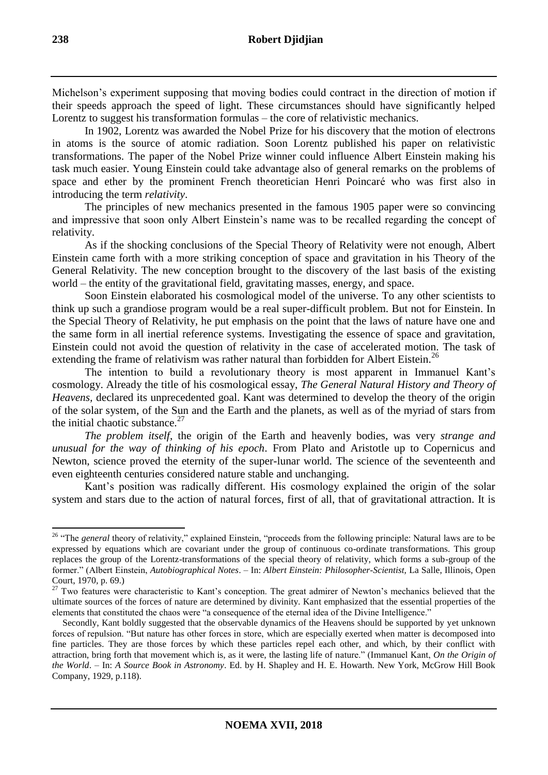Michelson's experiment supposing that moving bodies could contract in the direction of motion if their speeds approach the speed of light. These circumstances should have significantly helped Lorentz to suggest his transformation formulas – the core of relativistic mechanics.

In 1902, Lorentz was awarded the Nobel Prize for his discovery that the motion of electrons in atoms is the source of atomic radiation. Soon Lorentz published his paper on relativistic transformations. The paper of the Nobel Prize winner could influence Albert Einstein making his task much easier. Young Einstein could take advantage also of general remarks on the problems of space and ether by the prominent French theoretician Henri Poincaré who was first also in introducing the term *relativity*.

The principles of new mechanics presented in the famous 1905 paper were so convincing and impressive that soon only Albert Einstein's name was to be recalled regarding the concept of relativity.

As if the shocking conclusions of the Special Theory of Relativity were not enough, Albert Einstein came forth with a more striking conception of space and gravitation in his Theory of the General Relativity. The new conception brought to the discovery of the last basis of the existing world – the entity of the gravitational field, gravitating masses, energy, and space.

Soon Einstein elaborated his cosmological model of the universe. To any other scientists to think up such a grandiose program would be a real super-difficult problem. But not for Einstein. In the Special Theory of Relativity, he put emphasis on the point that the laws of nature have one and the same form in all inertial reference systems. Investigating the essence of space and gravitation, Einstein could not avoid the question of relativity in the case of accelerated motion. The task of extending the frame of relativism was rather natural than forbidden for Albert Eistein.<sup>26</sup>

The intention to build a revolutionary theory is most apparent in Immanuel Kant's cosmology. Already the title of his cosmological essay, *The General Natural History and Theory of Heavens,* declared its unprecedented goal. Kant was determined to develop the theory of the origin of the solar system, of the Sun and the Earth and the planets, as well as of the myriad of stars from the initial chaotic substance. $27$ 

*The problem itself*, the origin of the Earth and heavenly bodies, was very *strange and unusual for the way of thinking of his epoch*. From Plato and Aristotle up to Copernicus and Newton, science proved the eternity of the super-lunar world. The science of the seventeenth and even eighteenth centuries considered nature stable and unchanging.

Kant's position was radically different. His cosmology explained the origin of the solar system and stars due to the action of natural forces, first of all, that of gravitational attraction. It is

<sup>-</sup><sup>26</sup> "The *general* theory of relativity," explained Einstein, "proceeds from the following principle: Natural laws are to be expressed by equations which are covariant under the group of continuous co-ordinate transformations. This group replaces the group of the Lorentz-transformations of the special theory of relativity, which forms a sub-group of the former." (Albert Einstein, *Autobiographical Notes*. – In: *Albert Einstein: Philosopher-Scientist,* La Salle, Illinois, Open Court, 1970*,* p. 69.)

<sup>&</sup>lt;sup>27</sup> Two features were characteristic to Kant's conception. The great admirer of Newton's mechanics believed that the ultimate sources of the forces of nature are determined by divinity. Kant emphasized that the essential properties of the elements that constituted the chaos were "a consequence of the eternal idea of the Divine Intelligence."

Secondly, Kant boldly suggested that the observable dynamics of the Heavens should be supported by yet unknown forces of repulsion. "But nature has other forces in store, which are especially exerted when matter is decomposed into fine particles. They are those forces by which these particles repel each other, and which, by their conflict with attraction, bring forth that movement which is, as it were, the lasting life of nature." (Immanuel Kant, *On the Origin of the World*. – In: *A Source Book in Astronomy*. Ed. by H. Shapley and H. E. Howarth. New York, McGrow Hill Book Company, 1929, p.118).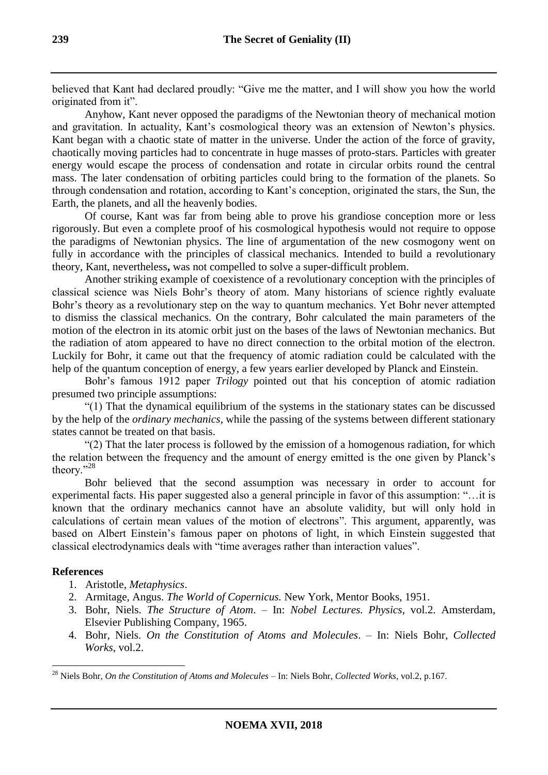believed that Kant had declared proudly: "Give me the matter, and I will show you how the world originated from it".

Anyhow, Kant never opposed the paradigms of the Newtonian theory of mechanical motion and gravitation. In actuality, Kant's cosmological theory was an extension of Newton's physics. Kant began with a chaotic state of matter in the universe. Under the action of the force of gravity, chaotically moving particles had to concentrate in huge masses of proto-stars. Particles with greater energy would escape the process of condensation and rotate in circular orbits round the central mass. The later condensation of orbiting particles could bring to the formation of the planets. So through condensation and rotation, according to Kant's conception, originated the stars, the Sun, the Earth, the planets, and all the heavenly bodies.

Of course, Kant was far from being able to prove his grandiose conception more or less rigorously. But even a complete proof of his cosmological hypothesis would not require to oppose the paradigms of Newtonian physics. The line of argumentation of the new cosmogony went on fully in accordance with the principles of classical mechanics. Intended to build a revolutionary theory, Kant, nevertheless**,** was not compelled to solve a super-difficult problem.

Another striking example of coexistence of a revolutionary conception with the principles of classical science was Niels Bohr's theory of atom. Many historians of science rightly evaluate Bohr's theory as a revolutionary step on the way to quantum mechanics. Yet Bohr never attempted to dismiss the classical mechanics. On the contrary, Bohr calculated the main parameters of the motion of the electron in its atomic orbit just on the bases of the laws of Newtonian mechanics. But the radiation of atom appeared to have no direct connection to the orbital motion of the electron. Luckily for Bohr, it came out that the frequency of atomic radiation could be calculated with the help of the quantum conception of energy, a few years earlier developed by Planck and Einstein.

Bohr's famous 1912 paper *Trilogy* pointed out that his conception of atomic radiation presumed two principle assumptions:

"(1) That the dynamical equilibrium of the systems in the stationary states can be discussed by the help of the *ordinary mechanics*, while the passing of the systems between different stationary states cannot be treated on that basis.

"(2) That the later process is followed by the emission of a homogenous radiation, for which the relation between the frequency and the amount of energy emitted is the one given by Planck's theory."<sup>28</sup>

Bohr believed that the second assumption was necessary in order to account for experimental facts. His paper suggested also a general principle in favor of this assumption: "…it is known that the ordinary mechanics cannot have an absolute validity, but will only hold in calculations of certain mean values of the motion of electrons". This argument, apparently, was based on Albert Einstein's famous paper on photons of light, in which Einstein suggested that classical electrodynamics deals with "time averages rather than interaction values".

## **References**

- 1. Aristotle, *Metaphysics*.
- 2. Armitage, Angus. *The World of Copernicus.* New York, Mentor Books, 1951.
- 3. Bohr, Niels. *The Structure of Atom*. In: *Nobel Lectures. Physics*, vol.2. Amsterdam, Elsevier Publishing Company, 1965.
- 4. Bohr, Niels. *On the Constitution of Atoms and Molecules*. In: Niels Bohr, *Collected Works*, vol.2.

<sup>28</sup> Niels Bohr, *On the Constitution of Atoms and Molecules* – In: Niels Bohr, *Collected Works*, vol.2, p.167.